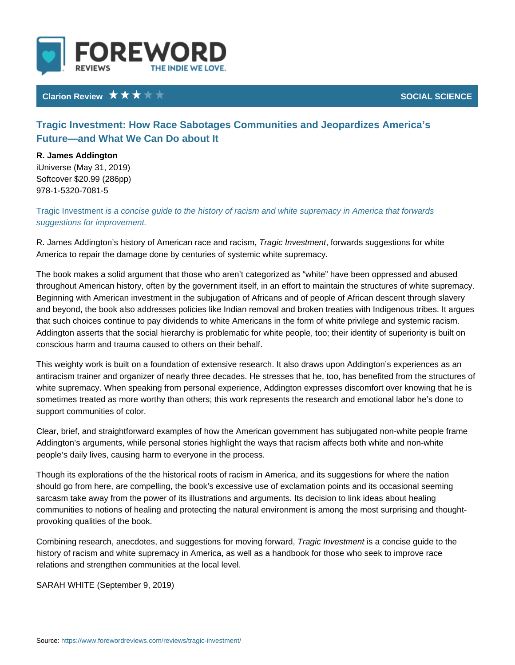## Clarion Review Network Clarion Review Network Clarion SOCIAL SCIE

Tragic Investment: How Race Sabotages Communities and Jeopard Future and What We Can Do about It

R. James Addington iUniverse (May 31, 2019) Softcover \$20.99 (286pp) 978-1-5320-7081-5

Tragic Invesitsm and oncise guide to the history of racism and white supremacy in. suggestions for improvement.

R. James Addington s history of Amer**Tcagical reversition exactifies**, suggestions for whit America to repair the damage done by centuries of systemic white supremacy.

The book makes a solid argument that those who aren t categorized as white I throughout American history, often by the government itself, in an effort to mai Beginning with American investment in the subjugation of Africans and of peopl and beyond, the book also addresses policies like Indian removal and broken tr that such choices continue to pay dividends to white Americans in the form of w Addington asserts that the social hierarchy is problematic for white people, too conscious harm and trauma caused to others on their behalf.

This weighty work is built on a foundation of extensive research. It also draws antiracism trainer and organizer of nearly three decades. He stresses that he, white supremacy. When speaking from personal experience, Addington expresse sometimes treated as more worthy than others; this work represents the researd support communities of color.

Clear, brief, and straightforward examples of how the American government has Addington s arguments, while personal stories highlight the ways that racism af people s daily lives, causing harm to everyone in the process.

Though its explorations of the the historical roots of racism in America, and its should go from here, are compelling, the book s excessive use of exclamation p sarcasm take away from the power of its illustrations and arguments. Its decisi communities to notions of healing and protecting the natural environment is am provoking qualities of the book.

Combining research, anecdotes, and suggesTiroangsicfolin whe siteminagno form wias red guide to the history of racism and white supremacy in America, as well as a handbook for th relations and strengthen communities at the local level.

SARAH WH(ISTEEptember 9, 2019)